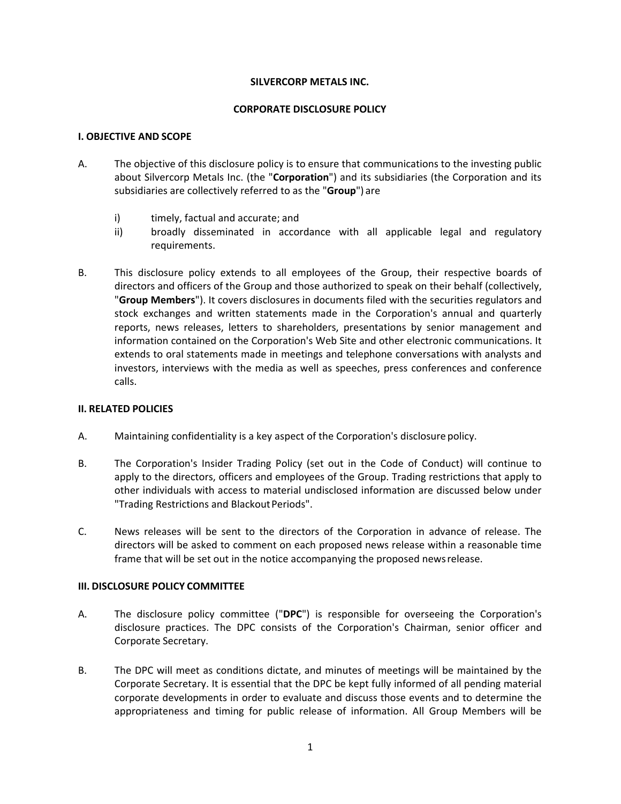### **SILVERCORP METALS INC.**

### **CORPORATE DISCLOSURE POLICY**

# **I. OBJECTIVE AND SCOPE**

- A. The objective of this disclosure policy is to ensure that communications to the investing public about Silvercorp Metals Inc. (the "**Corporation**") and its subsidiaries (the Corporation and its subsidiaries are collectively referred to as the "**Group**") are
	- i) timely, factual and accurate; and
	- ii) broadly disseminated in accordance with all applicable legal and regulatory requirements.
- B. This disclosure policy extends to all employees of the Group, their respective boards of directors and officers of the Group and those authorized to speak on their behalf (collectively, "**Group Members**"). It covers disclosures in documents filed with the securities regulators and stock exchanges and written statements made in the Corporation's annual and quarterly reports, news releases, letters to shareholders, presentations by senior management and information contained on the Corporation's Web Site and other electronic communications. It extends to oral statements made in meetings and telephone conversations with analysts and investors, interviews with the media as well as speeches, press conferences and conference calls.

# **II. RELATED POLICIES**

- A. Maintaining confidentiality is a key aspect of the Corporation's disclosure policy.
- B. The Corporation's Insider Trading Policy (set out in the Code of Conduct) will continue to apply to the directors, officers and employees of the Group. Trading restrictions that apply to other individuals with access to material undisclosed information are discussed below under "Trading Restrictions and Blackout Periods".
- C. News releases will be sent to the directors of the Corporation in advance of release. The directors will be asked to comment on each proposed news release within a reasonable time frame that will be set out in the notice accompanying the proposed news release.

# **III. DISCLOSURE POLICY COMMITTEE**

- A. The disclosure policy committee ("**DPC**") is responsible for overseeing the Corporation's disclosure practices. The DPC consists of the Corporation's Chairman, senior officer and Corporate Secretary.
- B. The DPC will meet as conditions dictate, and minutes of meetings will be maintained by the Corporate Secretary. It is essential that the DPC be kept fully informed of all pending material corporate developments in order to evaluate and discuss those events and to determine the appropriateness and timing for public release of information. All Group Members will be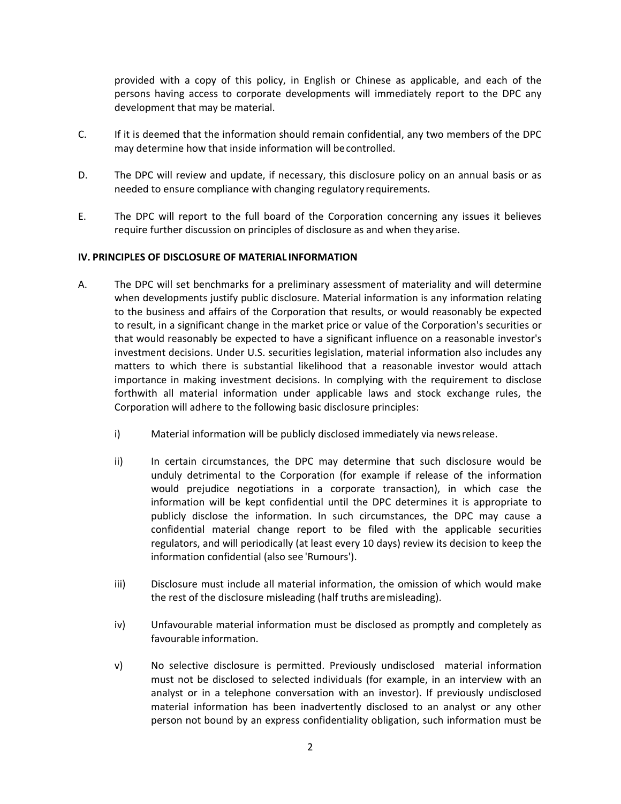provided with a copy of this policy, in English or Chinese as applicable, and each of the persons having access to corporate developments will immediately report to the DPC any development that may be material.

- C. If it is deemed that the information should remain confidential, any two members of the DPC may determine how that inside information will be controlled.
- D. The DPC will review and update, if necessary, this disclosure policy on an annual basis or as needed to ensure compliance with changing regulatory requirements.
- E. The DPC will report to the full board of the Corporation concerning any issues it believes require further discussion on principles of disclosure as and when they arise.

## **IV. PRINCIPLES OF DISCLOSURE OF MATERIAL INFORMATION**

- A. The DPC will set benchmarks for a preliminary assessment of materiality and will determine when developments justify public disclosure. Material information is any information relating to the business and affairs of the Corporation that results, or would reasonably be expected to result, in a significant change in the market price or value of the Corporation's securities or that would reasonably be expected to have a significant influence on a reasonable investor's investment decisions. Under U.S. securities legislation, material information also includes any matters to which there is substantial likelihood that a reasonable investor would attach importance in making investment decisions. In complying with the requirement to disclose forthwith all material information under applicable laws and stock exchange rules, the Corporation will adhere to the following basic disclosure principles:
	- i) Material information will be publicly disclosed immediately via news release.
	- ii) In certain circumstances, the DPC may determine that such disclosure would be unduly detrimental to the Corporation (for example if release of the information would prejudice negotiations in a corporate transaction), in which case the information will be kept confidential until the DPC determines it is appropriate to publicly disclose the information. In such circumstances, the DPC may cause a confidential material change report to be filed with the applicable securities regulators, and will periodically (at least every 10 days) review its decision to keep the information confidential (also see 'Rumours').
	- iii) Disclosure must include all material information, the omission of which would make the rest of the disclosure misleading (half truths are misleading).
	- iv) Unfavourable material information must be disclosed as promptly and completely as favourable information.
	- v) No selective disclosure is permitted. Previously undisclosed material information must not be disclosed to selected individuals (for example, in an interview with an analyst or in a telephone conversation with an investor). If previously undisclosed material information has been inadvertently disclosed to an analyst or any other person not bound by an express confidentiality obligation, such information must be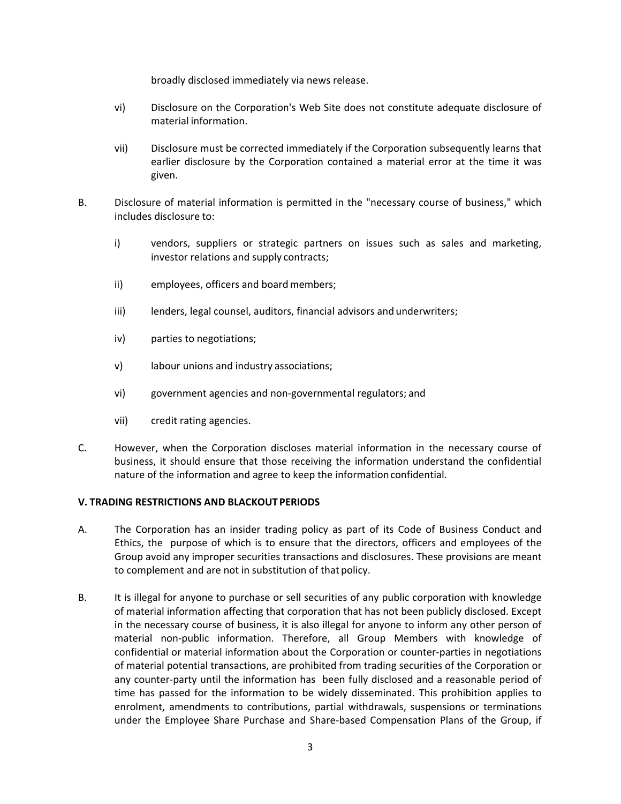broadly disclosed immediately via news release.

- vi) Disclosure on the Corporation's Web Site does not constitute adequate disclosure of material information.
- vii) Disclosure must be corrected immediately if the Corporation subsequently learns that earlier disclosure by the Corporation contained a material error at the time it was given.
- B. Disclosure of material information is permitted in the "necessary course of business," which includes disclosure to:
	- i) vendors, suppliers or strategic partners on issues such as sales and marketing, investor relations and supply contracts;
	- ii) employees, officers and board members;
	- iii) lenders, legal counsel, auditors, financial advisors and underwriters;
	- iv) parties to negotiations;
	- v) labour unions and industry associations;
	- vi) government agencies and non‐governmental regulators; and
	- vii) credit rating agencies.
- C. However, when the Corporation discloses material information in the necessary course of business, it should ensure that those receiving the information understand the confidential nature of the information and agree to keep the information confidential.

# **V. TRADING RESTRICTIONS AND BLACKOUT PERIODS**

- A. The Corporation has an insider trading policy as part of its Code of Business Conduct and Ethics, the purpose of which is to ensure that the directors, officers and employees of the Group avoid any improper securities transactions and disclosures. These provisions are meant to complement and are not in substitution of that policy.
- B. It is illegal for anyone to purchase or sell securities of any public corporation with knowledge of material information affecting that corporation that has not been publicly disclosed. Except in the necessary course of business, it is also illegal for anyone to inform any other person of material non‐public information. Therefore, all Group Members with knowledge of confidential or material information about the Corporation or counter‐parties in negotiations of material potential transactions, are prohibited from trading securities of the Corporation or any counter‐party until the information has been fully disclosed and a reasonable period of time has passed for the information to be widely disseminated. This prohibition applies to enrolment, amendments to contributions, partial withdrawals, suspensions or terminations under the Employee Share Purchase and Share-based Compensation Plans of the Group, if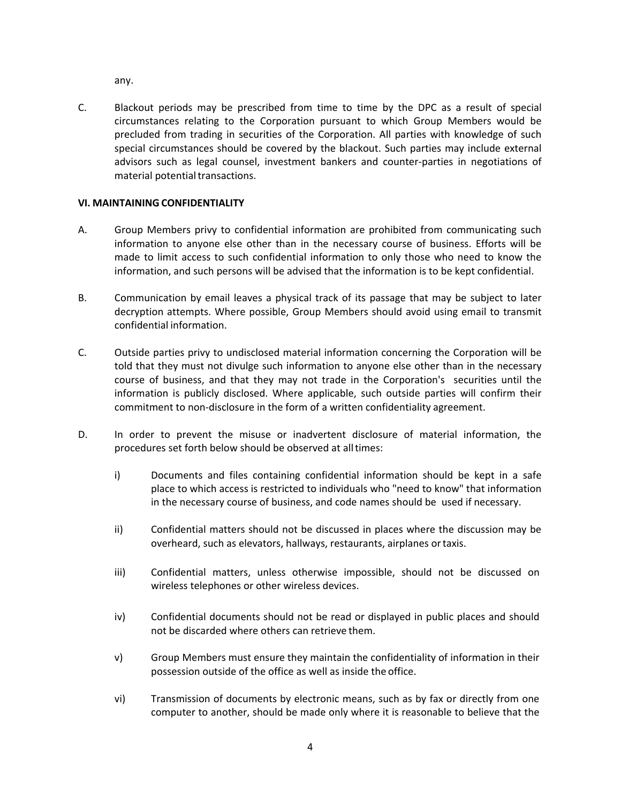any.

C. Blackout periods may be prescribed from time to time by the DPC as a result of special circumstances relating to the Corporation pursuant to which Group Members would be precluded from trading in securities of the Corporation. All parties with knowledge of such special circumstances should be covered by the blackout. Such parties may include external advisors such as legal counsel, investment bankers and counter-parties in negotiations of material potential transactions.

# **VI. MAINTAINING CONFIDENTIALITY**

- A. Group Members privy to confidential information are prohibited from communicating such information to anyone else other than in the necessary course of business. Efforts will be made to limit access to such confidential information to only those who need to know the information, and such persons will be advised that the information is to be kept confidential.
- B. Communication by email leaves a physical track of its passage that may be subject to later decryption attempts. Where possible, Group Members should avoid using email to transmit confidential information.
- C. Outside parties privy to undisclosed material information concerning the Corporation will be told that they must not divulge such information to anyone else other than in the necessary course of business, and that they may not trade in the Corporation's securities until the information is publicly disclosed. Where applicable, such outside parties will confirm their commitment to non‐disclosure in the form of a written confidentiality agreement.
- D. In order to prevent the misuse or inadvertent disclosure of material information, the procedures set forth below should be observed at all times:
	- i) Documents and files containing confidential information should be kept in a safe place to which access is restricted to individuals who "need to know" that information in the necessary course of business, and code names should be used if necessary.
	- ii) Confidential matters should not be discussed in places where the discussion may be overheard, such as elevators, hallways, restaurants, airplanes or taxis.
	- iii) Confidential matters, unless otherwise impossible, should not be discussed on wireless telephones or other wireless devices.
	- iv) Confidential documents should not be read or displayed in public places and should not be discarded where others can retrieve them.
	- v) Group Members must ensure they maintain the confidentiality of information in their possession outside of the office as well as inside the office.
	- vi) Transmission of documents by electronic means, such as by fax or directly from one computer to another, should be made only where it is reasonable to believe that the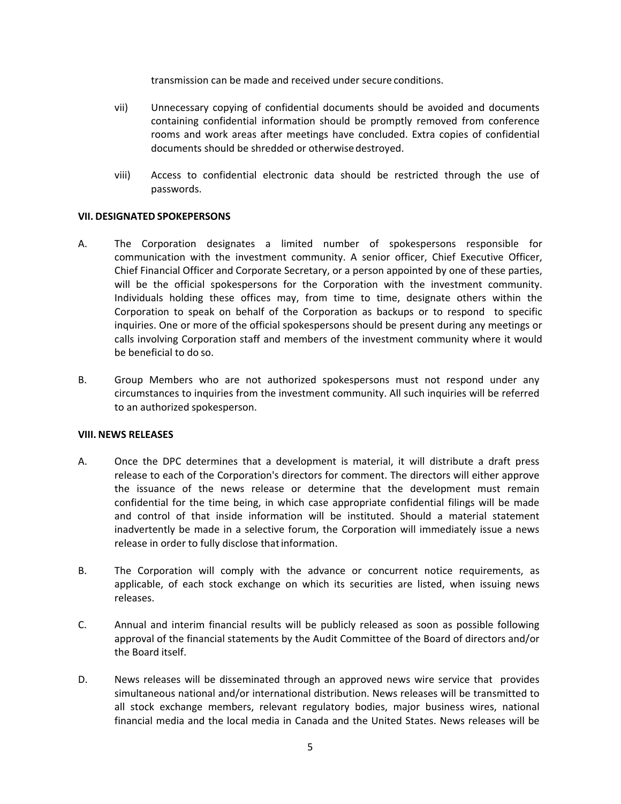transmission can be made and received under secure conditions.

- vii) Unnecessary copying of confidential documents should be avoided and documents containing confidential information should be promptly removed from conference rooms and work areas after meetings have concluded. Extra copies of confidential documents should be shredded or otherwise destroyed.
- viii) Access to confidential electronic data should be restricted through the use of passwords.

# **VII. DESIGNATED SPOKEPERSONS**

- A. The Corporation designates a limited number of spokespersons responsible for communication with the investment community. A senior officer, Chief Executive Officer, Chief Financial Officer and Corporate Secretary, or a person appointed by one of these parties, will be the official spokespersons for the Corporation with the investment community. Individuals holding these offices may, from time to time, designate others within the Corporation to speak on behalf of the Corporation as backups or to respond to specific inquiries. One or more of the official spokespersons should be present during any meetings or calls involving Corporation staff and members of the investment community where it would be beneficial to do so.
- B. Group Members who are not authorized spokespersons must not respond under any circumstances to inquiries from the investment community. All such inquiries will be referred to an authorized spokesperson.

#### **VIII.NEWS RELEASES**

- A. Once the DPC determines that a development is material, it will distribute a draft press release to each of the Corporation's directors for comment. The directors will either approve the issuance of the news release or determine that the development must remain confidential for the time being, in which case appropriate confidential filings will be made and control of that inside information will be instituted. Should a material statement inadvertently be made in a selective forum, the Corporation will immediately issue a news release in order to fully disclose that information.
- B. The Corporation will comply with the advance or concurrent notice requirements, as applicable, of each stock exchange on which its securities are listed, when issuing news releases.
- C. Annual and interim financial results will be publicly released as soon as possible following approval of the financial statements by the Audit Committee of the Board of directors and/or the Board itself.
- D. News releases will be disseminated through an approved news wire service that provides simultaneous national and/or international distribution. News releases will be transmitted to all stock exchange members, relevant regulatory bodies, major business wires, national financial media and the local media in Canada and the United States. News releases will be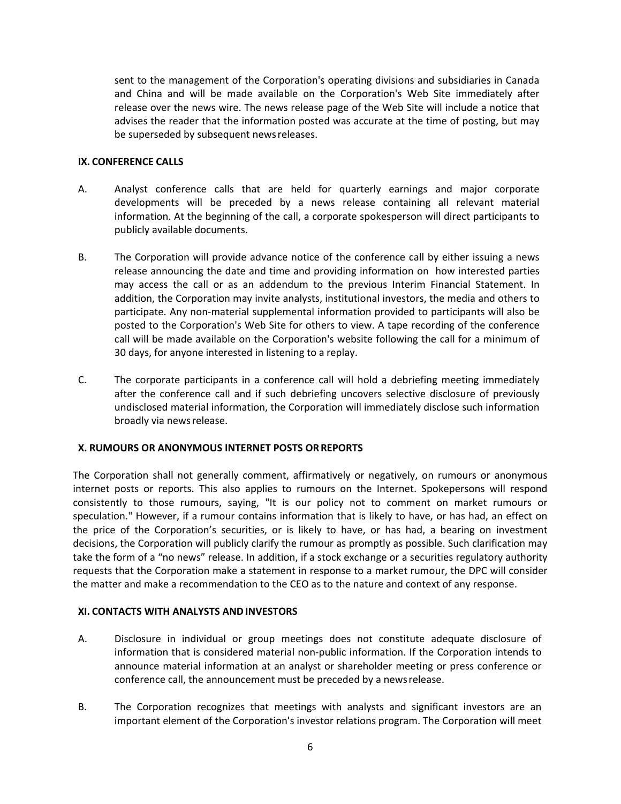sent to the management of the Corporation's operating divisions and subsidiaries in Canada and China and will be made available on the Corporation's Web Site immediately after release over the news wire. The news release page of the Web Site will include a notice that advises the reader that the information posted was accurate at the time of posting, but may be superseded by subsequent news releases.

## **IX. CONFERENCE CALLS**

- A. Analyst conference calls that are held for quarterly earnings and major corporate developments will be preceded by a news release containing all relevant material information. At the beginning of the call, a corporate spokesperson will direct participants to publicly available documents.
- B. The Corporation will provide advance notice of the conference call by either issuing a news release announcing the date and time and providing information on how interested parties may access the call or as an addendum to the previous Interim Financial Statement. In addition, the Corporation may invite analysts, institutional investors, the media and others to participate. Any non-material supplemental information provided to participants will also be posted to the Corporation's Web Site for others to view. A tape recording of the conference call will be made available on the Corporation's website following the call for a minimum of 30 days, for anyone interested in listening to a replay.
- C. The corporate participants in a conference call will hold a debriefing meeting immediately after the conference call and if such debriefing uncovers selective disclosure of previously undisclosed material information, the Corporation will immediately disclose such information broadly via news release.

# **X. RUMOURS OR ANONYMOUS INTERNET POSTS OR REPORTS**

The Corporation shall not generally comment, affirmatively or negatively, on rumours or anonymous internet posts or reports. This also applies to rumours on the Internet. Spokepersons will respond consistently to those rumours, saying, "It is our policy not to comment on market rumours or speculation." However, if a rumour contains information that is likely to have, or has had, an effect on the price of the Corporation's securities, or is likely to have, or has had, a bearing on investment decisions, the Corporation will publicly clarify the rumour as promptly as possible. Such clarification may take the form of a "no news" release. In addition, if a stock exchange or a securities regulatory authority requests that the Corporation make a statement in response to a market rumour, the DPC will consider the matter and make a recommendation to the CEO as to the nature and context of any response.

# **XI. CONTACTS WITH ANALYSTS AND INVESTORS**

- A. Disclosure in individual or group meetings does not constitute adequate disclosure of information that is considered material non‐public information. If the Corporation intends to announce material information at an analyst or shareholder meeting or press conference or conference call, the announcement must be preceded by a news release.
- B. The Corporation recognizes that meetings with analysts and significant investors are an important element of the Corporation's investor relations program. The Corporation will meet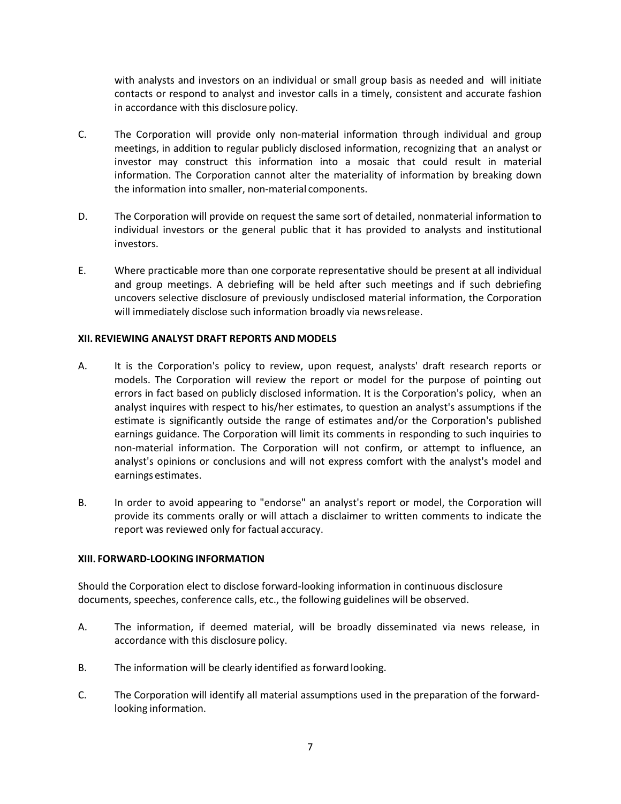with analysts and investors on an individual or small group basis as needed and will initiate contacts or respond to analyst and investor calls in a timely, consistent and accurate fashion in accordance with this disclosure policy.

- C. The Corporation will provide only non-material information through individual and group meetings, in addition to regular publicly disclosed information, recognizing that an analyst or investor may construct this information into a mosaic that could result in material information. The Corporation cannot alter the materiality of information by breaking down the information into smaller, non‐material components.
- D. The Corporation will provide on request the same sort of detailed, nonmaterial information to individual investors or the general public that it has provided to analysts and institutional investors.
- E. Where practicable more than one corporate representative should be present at all individual and group meetings. A debriefing will be held after such meetings and if such debriefing uncovers selective disclosure of previously undisclosed material information, the Corporation will immediately disclose such information broadly via news release.

## **XII. REVIEWING ANALYST DRAFT REPORTS AND MODELS**

- A. It is the Corporation's policy to review, upon request, analysts' draft research reports or models. The Corporation will review the report or model for the purpose of pointing out errors in fact based on publicly disclosed information. It is the Corporation's policy, when an analyst inquires with respect to his/her estimates, to question an analyst's assumptions if the estimate is significantly outside the range of estimates and/or the Corporation's published earnings guidance. The Corporation will limit its comments in responding to such inquiries to non-material information. The Corporation will not confirm, or attempt to influence, an analyst's opinions or conclusions and will not express comfort with the analyst's model and earnings estimates.
- B. In order to avoid appearing to "endorse" an analyst's report or model, the Corporation will provide its comments orally or will attach a disclaimer to written comments to indicate the report was reviewed only for factual accuracy.

#### **XIII. FORWARD‐LOOKING INFORMATION**

Should the Corporation elect to disclose forward‐looking information in continuous disclosure documents, speeches, conference calls, etc., the following guidelines will be observed.

- A. The information, if deemed material, will be broadly disseminated via news release, in accordance with this disclosure policy.
- B. The information will be clearly identified as forward looking.
- C. The Corporation will identify all material assumptions used in the preparation of the forward‐ looking information.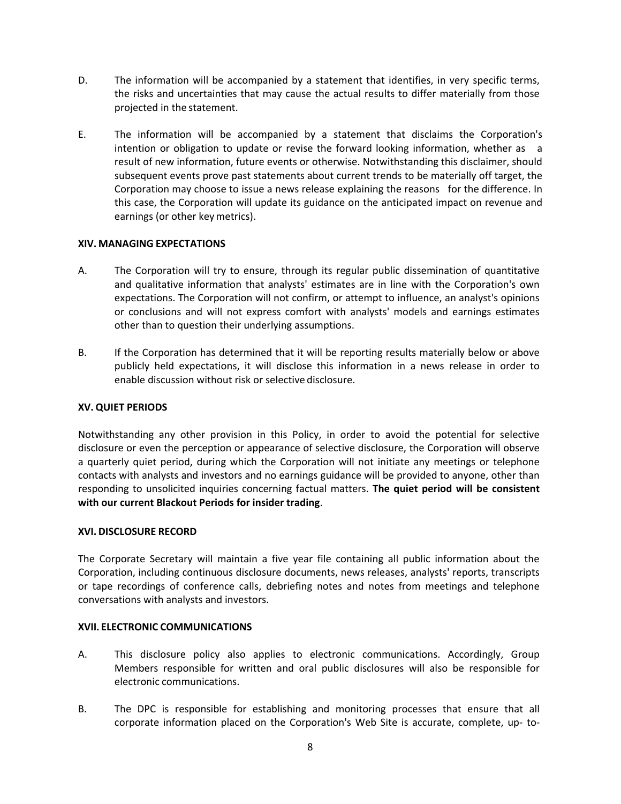- D. The information will be accompanied by a statement that identifies, in very specific terms, the risks and uncertainties that may cause the actual results to differ materially from those projected in the statement.
- E. The information will be accompanied by a statement that disclaims the Corporation's intention or obligation to update or revise the forward looking information, whether as a result of new information, future events or otherwise. Notwithstanding this disclaimer, should subsequent events prove past statements about current trends to be materially off target, the Corporation may choose to issue a news release explaining the reasons for the difference. In this case, the Corporation will update its guidance on the anticipated impact on revenue and earnings (or other key metrics).

## **XIV. MANAGING EXPECTATIONS**

- A. The Corporation will try to ensure, through its regular public dissemination of quantitative and qualitative information that analysts' estimates are in line with the Corporation's own expectations. The Corporation will not confirm, or attempt to influence, an analyst's opinions or conclusions and will not express comfort with analysts' models and earnings estimates other than to question their underlying assumptions.
- B. If the Corporation has determined that it will be reporting results materially below or above publicly held expectations, it will disclose this information in a news release in order to enable discussion without risk or selective disclosure.

### **XV. QUIET PERIODS**

Notwithstanding any other provision in this Policy, in order to avoid the potential for selective disclosure or even the perception or appearance of selective disclosure, the Corporation will observe a quarterly quiet period, during which the Corporation will not initiate any meetings or telephone contacts with analysts and investors and no earnings guidance will be provided to anyone, other than responding to unsolicited inquiries concerning factual matters. **The quiet period will be consistent with our current Blackout Periods for insider trading**.

#### **XVI. DISCLOSURE RECORD**

The Corporate Secretary will maintain a five year file containing all public information about the Corporation, including continuous disclosure documents, news releases, analysts' reports, transcripts or tape recordings of conference calls, debriefing notes and notes from meetings and telephone conversations with analysts and investors.

#### **XVII. ELECTRONIC COMMUNICATIONS**

- A. This disclosure policy also applies to electronic communications. Accordingly, Group Members responsible for written and oral public disclosures will also be responsible for electronic communications.
- B. The DPC is responsible for establishing and monitoring processes that ensure that all corporate information placed on the Corporation's Web Site is accurate, complete, up- to-